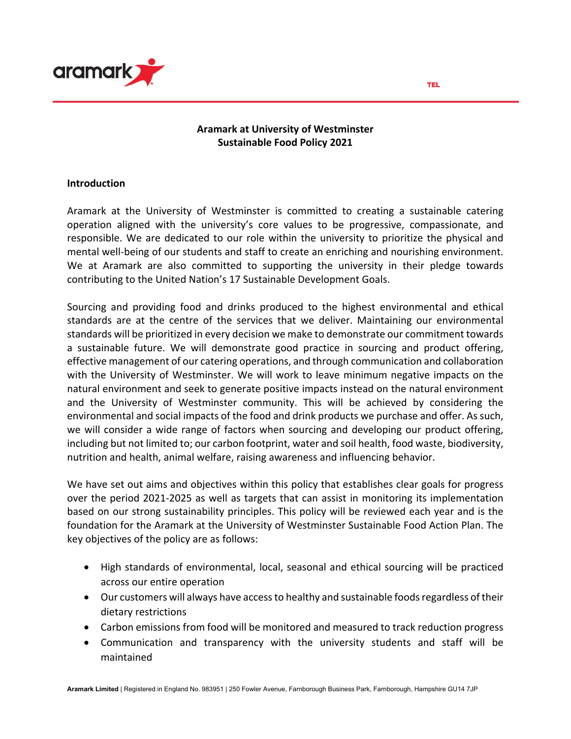

### **Aramark at University of Westminster Sustainable Food Policy 2021**

#### **Introduction**

Aramark at the University of Westminster is committed to creating a sustainable catering operation aligned with the university's core values to be progressive, compassionate, and responsible. We are dedicated to our role within the university to prioritize the physical and mental well-being of our students and staff to create an enriching and nourishing environment. We at Aramark are also committed to supporting the university in their pledge towards contributing to the United Nation's 17 Sustainable Development Goals.

Sourcing and providing food and drinks produced to the highest environmental and ethical standards are at the centre of the services that we deliver. Maintaining our environmental standards will be prioritized in every decision we make to demonstrate our commitment towards a sustainable future. We will demonstrate good practice in sourcing and product offering, effective management of our catering operations, and through communication and collaboration with the University of Westminster. We will work to leave minimum negative impacts on the natural environment and seek to generate positive impacts instead on the natural environment and the University of Westminster community. This will be achieved by considering the environmental and social impacts of the food and drink products we purchase and offer. As such, we will consider a wide range of factors when sourcing and developing our product offering, including but not limited to; our carbon footprint, water and soil health, food waste, biodiversity, nutrition and health, animal welfare, raising awareness and influencing behavior.

We have set out aims and objectives within this policy that establishes clear goals for progress over the period 2021-2025 as well as targets that can assist in monitoring its implementation based on our strong sustainability principles. This policy will be reviewed each year and is the foundation for the Aramark at the University of Westminster Sustainable Food Action Plan. The key objectives of the policy are as follows:

- High standards of environmental, local, seasonal and ethical sourcing will be practiced across our entire operation
- Our customers will always have access to healthy and sustainable foods regardless of their dietary restrictions
- Carbon emissions from food will be monitored and measured to track reduction progress
- Communication and transparency with the university students and staff will be maintained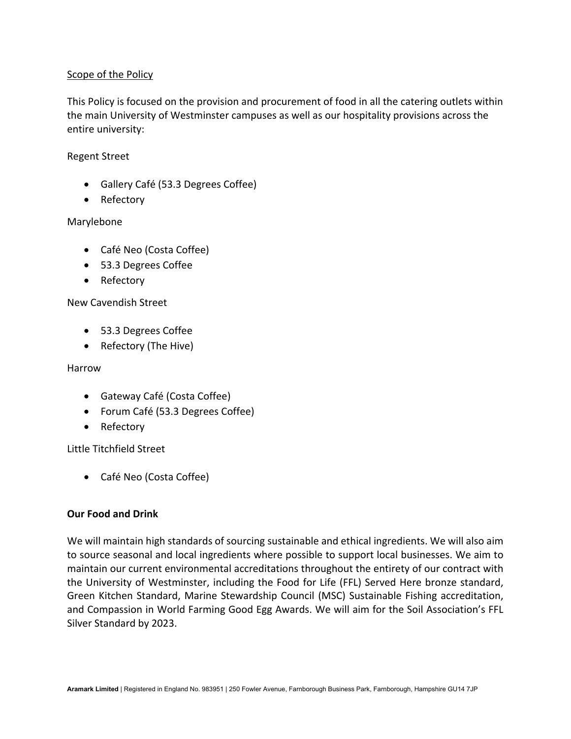### Scope of the Policy

This Policy is focused on the provision and procurement of food in all the catering outlets within the main University of Westminster campuses as well as our hospitality provisions across the entire university:

#### Regent Street

- Gallery Café (53.3 Degrees Coffee)
- Refectory

## Marylebone

- Café Neo (Costa Coffee)
- 53.3 Degrees Coffee
- Refectory

## New Cavendish Street

- 53.3 Degrees Coffee
- Refectory (The Hive)

## Harrow

- Gateway Café (Costa Coffee)
- Forum Café (53.3 Degrees Coffee)
- Refectory

Little Titchfield Street

• Café Neo (Costa Coffee)

#### **Our Food and Drink**

We will maintain high standards of sourcing sustainable and ethical ingredients. We will also aim to source seasonal and local ingredients where possible to support local businesses. We aim to maintain our current environmental accreditations throughout the entirety of our contract with the University of Westminster, including the Food for Life (FFL) Served Here bronze standard, Green Kitchen Standard, Marine Stewardship Council (MSC) Sustainable Fishing accreditation, and Compassion in World Farming Good Egg Awards. We will aim for the Soil Association's FFL Silver Standard by 2023.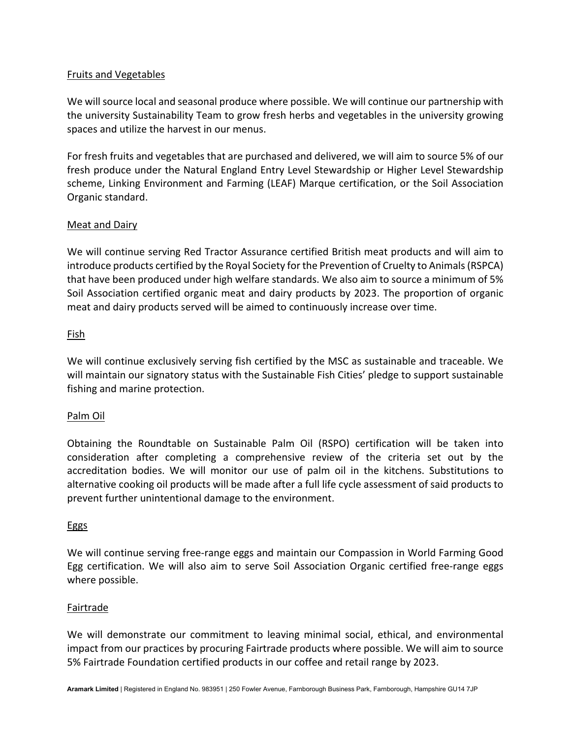## Fruits and Vegetables

We will source local and seasonal produce where possible. We will continue our partnership with the university Sustainability Team to grow fresh herbs and vegetables in the university growing spaces and utilize the harvest in our menus.

For fresh fruits and vegetables that are purchased and delivered, we will aim to source 5% of our fresh produce under the Natural England Entry Level Stewardship or Higher Level Stewardship scheme, Linking Environment and Farming (LEAF) Marque certification, or the Soil Association Organic standard.

## Meat and Dairy

We will continue serving Red Tractor Assurance certified British meat products and will aim to introduce products certified by the Royal Society for the Prevention of Cruelty to Animals (RSPCA) that have been produced under high welfare standards. We also aim to source a minimum of 5% Soil Association certified organic meat and dairy products by 2023. The proportion of organic meat and dairy products served will be aimed to continuously increase over time.

#### Fish

We will continue exclusively serving fish certified by the MSC as sustainable and traceable. We will maintain our signatory status with the Sustainable Fish Cities' pledge to support sustainable fishing and marine protection.

# Palm Oil

Obtaining the Roundtable on Sustainable Palm Oil (RSPO) certification will be taken into consideration after completing a comprehensive review of the criteria set out by the accreditation bodies. We will monitor our use of palm oil in the kitchens. Substitutions to alternative cooking oil products will be made after a full life cycle assessment of said products to prevent further unintentional damage to the environment.

#### Eggs

We will continue serving free-range eggs and maintain our Compassion in World Farming Good Egg certification. We will also aim to serve Soil Association Organic certified free-range eggs where possible.

#### Fairtrade

We will demonstrate our commitment to leaving minimal social, ethical, and environmental impact from our practices by procuring Fairtrade products where possible. We will aim to source 5% Fairtrade Foundation certified products in our coffee and retail range by 2023.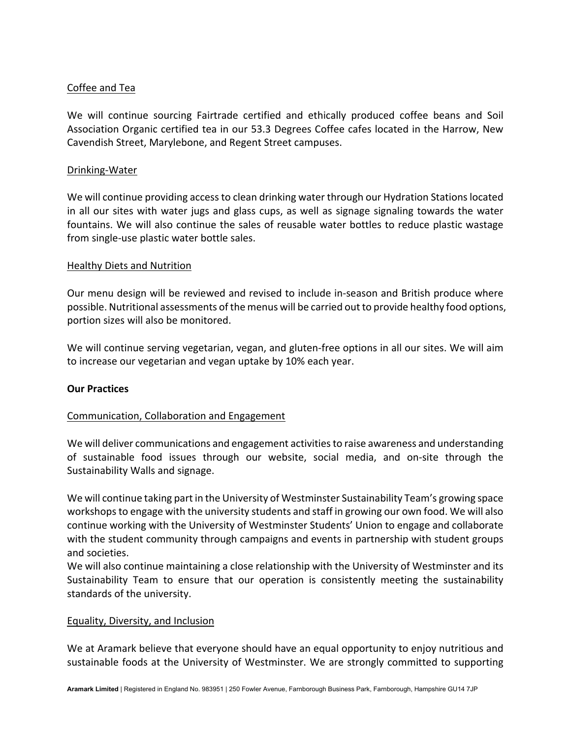### Coffee and Tea

We will continue sourcing Fairtrade certified and ethically produced coffee beans and Soil Association Organic certified tea in our 53.3 Degrees Coffee cafes located in the Harrow, New Cavendish Street, Marylebone, and Regent Street campuses.

#### Drinking-Water

We will continue providing access to clean drinking water through our Hydration Stations located in all our sites with water jugs and glass cups, as well as signage signaling towards the water fountains. We will also continue the sales of reusable water bottles to reduce plastic wastage from single-use plastic water bottle sales.

#### Healthy Diets and Nutrition

Our menu design will be reviewed and revised to include in-season and British produce where possible. Nutritional assessments of the menus will be carried out to provide healthy food options, portion sizes will also be monitored.

We will continue serving vegetarian, vegan, and gluten-free options in all our sites. We will aim to increase our vegetarian and vegan uptake by 10% each year.

#### **Our Practices**

#### Communication, Collaboration and Engagement

We will deliver communications and engagement activities to raise awareness and understanding of sustainable food issues through our website, social media, and on-site through the Sustainability Walls and signage.

We will continue taking part in the University of Westminster Sustainability Team's growing space workshops to engage with the university students and staff in growing our own food. We will also continue working with the University of Westminster Students' Union to engage and collaborate with the student community through campaigns and events in partnership with student groups and societies.

We will also continue maintaining a close relationship with the University of Westminster and its Sustainability Team to ensure that our operation is consistently meeting the sustainability standards of the university.

#### Equality, Diversity, and Inclusion

We at Aramark believe that everyone should have an equal opportunity to enjoy nutritious and sustainable foods at the University of Westminster. We are strongly committed to supporting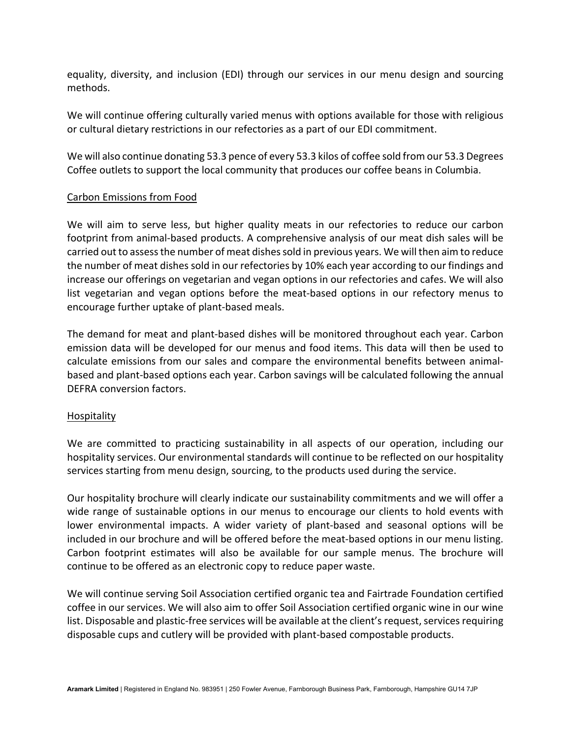equality, diversity, and inclusion (EDI) through our services in our menu design and sourcing methods.

We will continue offering culturally varied menus with options available for those with religious or cultural dietary restrictions in our refectories as a part of our EDI commitment.

We will also continue donating 53.3 pence of every 53.3 kilos of coffee sold from our 53.3 Degrees Coffee outlets to support the local community that produces our coffee beans in Columbia.

#### Carbon Emissions from Food

We will aim to serve less, but higher quality meats in our refectories to reduce our carbon footprint from animal-based products. A comprehensive analysis of our meat dish sales will be carried out to assess the number of meat dishes sold in previous years. We will then aim to reduce the number of meat dishes sold in our refectories by 10% each year according to our findings and increase our offerings on vegetarian and vegan options in our refectories and cafes. We will also list vegetarian and vegan options before the meat-based options in our refectory menus to encourage further uptake of plant-based meals.

The demand for meat and plant-based dishes will be monitored throughout each year. Carbon emission data will be developed for our menus and food items. This data will then be used to calculate emissions from our sales and compare the environmental benefits between animalbased and plant-based options each year. Carbon savings will be calculated following the annual DEFRA conversion factors.

#### Hospitality

We are committed to practicing sustainability in all aspects of our operation, including our hospitality services. Our environmental standards will continue to be reflected on our hospitality services starting from menu design, sourcing, to the products used during the service.

Our hospitality brochure will clearly indicate our sustainability commitments and we will offer a wide range of sustainable options in our menus to encourage our clients to hold events with lower environmental impacts. A wider variety of plant-based and seasonal options will be included in our brochure and will be offered before the meat-based options in our menu listing. Carbon footprint estimates will also be available for our sample menus. The brochure will continue to be offered as an electronic copy to reduce paper waste.

We will continue serving Soil Association certified organic tea and Fairtrade Foundation certified coffee in our services. We will also aim to offer Soil Association certified organic wine in our wine list. Disposable and plastic-free services will be available at the client's request, services requiring disposable cups and cutlery will be provided with plant-based compostable products.